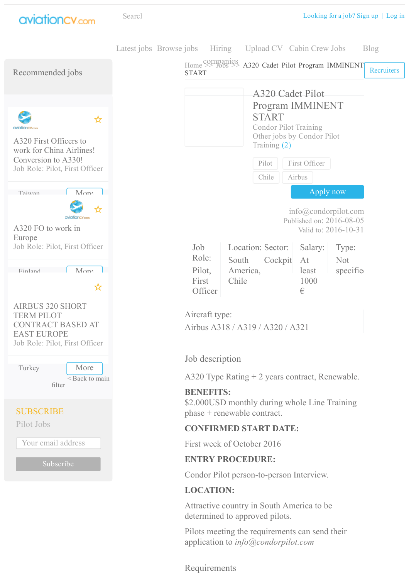



Requirements